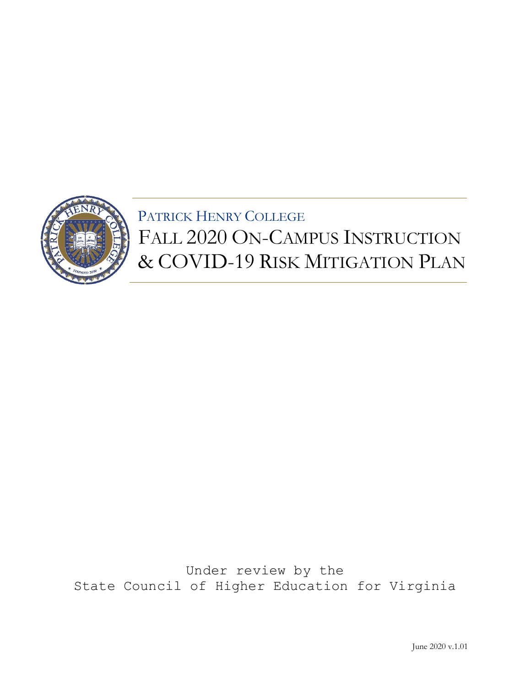

Under review by the State Council of Higher Education for Virginia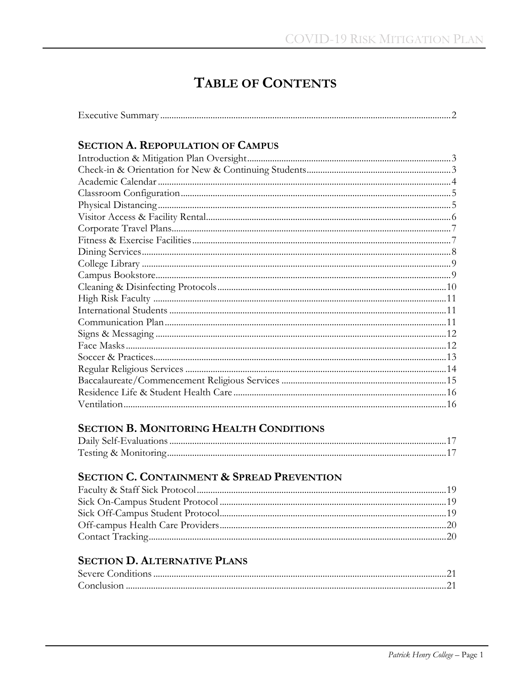# **TABLE OF CONTENTS**

| $\blacksquare$<br><b>Executive</b> |  |  |
|------------------------------------|--|--|
|------------------------------------|--|--|

# **SECTION A. REPOPULATION OF CAMPUS**

# **SECTION B. MONITORING HEALTH CONDITIONS**

# SECTION C. CONTAINMENT & SPREAD PREVENTION

## **SECTION D. ALTERNATIVE PLANS**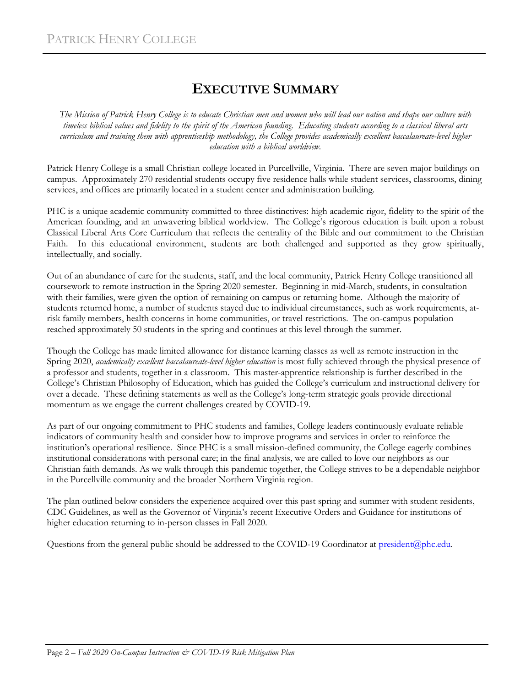# **EXECUTIVE SUMMARY**

*The Mission of Patrick Henry College is to educate Christian men and women who will lead our nation and shape our culture with timeless biblical values and fidelity to the spirit of the American founding. Educating students according to a classical liberal arts curriculum and training them with apprenticeship methodology, the College provides academically excellent baccalaureate-level higher education with a biblical worldview.*

Patrick Henry College is a small Christian college located in Purcellville, Virginia. There are seven major buildings on campus. Approximately 270 residential students occupy five residence halls while student services, classrooms, dining services, and offices are primarily located in a student center and administration building.

PHC is a unique academic community committed to three distinctives: high academic rigor, fidelity to the spirit of the American founding, and an unwavering biblical worldview. The College's rigorous education is built upon a robust Classical Liberal Arts Core Curriculum that reflects the centrality of the Bible and our commitment to the Christian Faith. In this educational environment, students are both challenged and supported as they grow spiritually, intellectually, and socially.

Out of an abundance of care for the students, staff, and the local community, Patrick Henry College transitioned all coursework to remote instruction in the Spring 2020 semester. Beginning in mid-March, students, in consultation with their families, were given the option of remaining on campus or returning home. Although the majority of students returned home, a number of students stayed due to individual circumstances, such as work requirements, atrisk family members, health concerns in home communities, or travel restrictions. The on-campus population reached approximately 50 students in the spring and continues at this level through the summer.

Though the College has made limited allowance for distance learning classes as well as remote instruction in the Spring 2020, *academically excellent baccalaureate-level higher education* is most fully achieved through the physical presence of a professor and students, together in a classroom. This master-apprentice relationship is further described in the College's Christian Philosophy of Education, which has guided the College's curriculum and instructional delivery for over a decade. These defining statements as well as the College's long-term strategic goals provide directional momentum as we engage the current challenges created by COVID-19.

As part of our ongoing commitment to PHC students and families, College leaders continuously evaluate reliable indicators of community health and consider how to improve programs and services in order to reinforce the institution's operational resilience. Since PHC is a small mission-defined community, the College eagerly combines institutional considerations with personal care; in the final analysis, we are called to love our neighbors as our Christian faith demands. As we walk through this pandemic together, the College strives to be a dependable neighbor in the Purcellville community and the broader Northern Virginia region.

The plan outlined below considers the experience acquired over this past spring and summer with student residents, CDC Guidelines, as well as the Governor of Virginia's recent Executive Orders and Guidance for institutions of higher education returning to in-person classes in Fall 2020.

Questions from the general public should be addressed to the COVID-19 Coordinator a[t president@phc.edu.](mailto:president@phc.edu)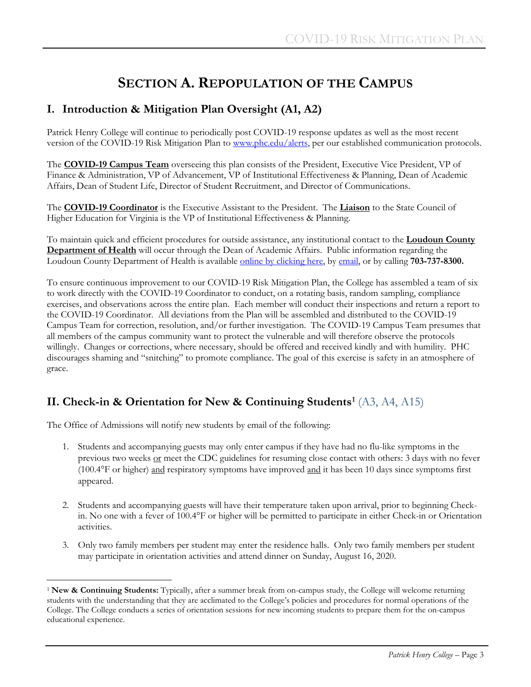# **SECTION A. REPOPULATION OF THE CAMPUS**

### **I. Introduction & Mitigation Plan Oversight (A1, A2)**

Patrick Henry College will continue to periodically post COVID-19 response updates as well as the most recent version of the COVID-19 Risk Mitigation Plan to [www.phc.edu/alerts,](http://www.phc.edu/alerts) per our established communication protocols.

The **COVID-19 Campus Team** overseeing this plan consists of the President, Executive Vice President, VP of Finance & Administration, VP of Advancement, VP of Institutional Effectiveness & Planning, Dean of Academic Affairs, Dean of Student Life, Director of Student Recruitment, and Director of Communications.

The **COVID-19 Coordinator** is the Executive Assistant to the President. The **Liaison** to the State Council of Higher Education for Virginia is the VP of Institutional Effectiveness & Planning.

To maintain quick and efficient procedures for outside assistance, any institutional contact to the **Loudoun County Department of Health** will occur through the Dean of Academic Affairs. Public information regarding the Loudoun County Department of Health is availabl[e online by clicking here,](https://www.loudoun.gov/5307/Coronavirus) b[y email,](mailto:health@loudoun.gov) or by calling **703-737-8300.**

To ensure continuous improvement to our COVID-19 Risk Mitigation Plan, the College has assembled a team of six to work directly with the COVID-19 Coordinator to conduct, on a rotating basis, random sampling, compliance exercises, and observations across the entire plan. Each member will conduct their inspections and return a report to the COVID-19 Coordinator. All deviations from the Plan will be assembled and distributed to the COVID-19 Campus Team for correction, resolution, and/or further investigation. The COVID-19 Campus Team presumes that all members of the campus community want to protect the vulnerable and will therefore observe the protocols willingly. Changes or corrections, where necessary, should be offered and received kindly and with humility. PHC discourages shaming and "snitching" to promote compliance. The goal of this exercise is safety in an atmosphere of grace.

# **II. Check-in & Orientation for New & Continuing Students[1](#page-4-0)** (A3, A4, A15)

The Office of Admissions will notify new students by email of the following:

- 1. Students and accompanying guests may only enter campus if they have had no flu-like symptoms in the previous two weeks or meet the CDC guidelines for resuming close contact with others: 3 days with no fever (100.4°F or higher) and respiratory symptoms have improved and it has been 10 days since symptoms first appeared.
- 2. Students and accompanying guests will have their temperature taken upon arrival, prior to beginning Checkin. No one with a fever of 100.4°F or higher will be permitted to participate in either Check-in or Orientation activities.
- 3. Only two family members per student may enter the residence halls. Only two family members per student may participate in orientation activities and attend dinner on Sunday, August 16, 2020.

<span id="page-4-0"></span>Ĩ. <sup>1</sup> **New & Continuing Students:** Typically, after a summer break from on-campus study, the College will welcome returning students with the understanding that they are acclimated to the College's policies and procedures for normal operations of the College. The College conducts a series of orientation sessions for new incoming students to prepare them for the on-campus educational experience.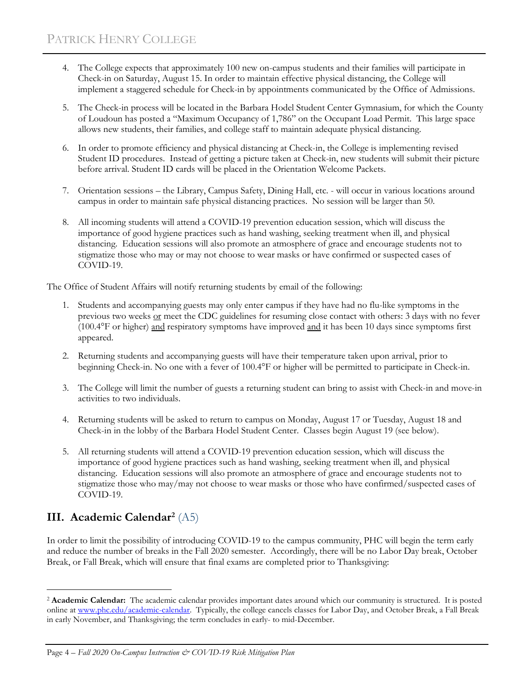- 4. The College expects that approximately 100 new on-campus students and their families will participate in Check-in on Saturday, August 15. In order to maintain effective physical distancing, the College will implement a staggered schedule for Check-in by appointments communicated by the Office of Admissions.
- 5. The Check-in process will be located in the Barbara Hodel Student Center Gymnasium, for which the County of Loudoun has posted a "Maximum Occupancy of 1,786" on the Occupant Load Permit. This large space allows new students, their families, and college staff to maintain adequate physical distancing.
- 6. In order to promote efficiency and physical distancing at Check-in, the College is implementing revised Student ID procedures. Instead of getting a picture taken at Check-in, new students will submit their picture before arrival. Student ID cards will be placed in the Orientation Welcome Packets.
- 7. Orientation sessions the Library, Campus Safety, Dining Hall, etc. will occur in various locations around campus in order to maintain safe physical distancing practices. No session will be larger than 50.
- 8. All incoming students will attend a COVID-19 prevention education session, which will discuss the importance of good hygiene practices such as hand washing, seeking treatment when ill, and physical distancing. Education sessions will also promote an atmosphere of grace and encourage students not to stigmatize those who may or may not choose to wear masks or have confirmed or suspected cases of COVID-19.

The Office of Student Affairs will notify returning students by email of the following:

- 1. Students and accompanying guests may only enter campus if they have had no flu-like symptoms in the previous two weeks or meet the CDC guidelines for resuming close contact with others: 3 days with no fever (100.4°F or higher) and respiratory symptoms have improved and it has been 10 days since symptoms first appeared.
- 2. Returning students and accompanying guests will have their temperature taken upon arrival, prior to beginning Check-in. No one with a fever of 100.4°F or higher will be permitted to participate in Check-in.
- 3. The College will limit the number of guests a returning student can bring to assist with Check-in and move-in activities to two individuals.
- 4. Returning students will be asked to return to campus on Monday, August 17 or Tuesday, August 18 and Check-in in the lobby of the Barbara Hodel Student Center. Classes begin August 19 (see below).
- 5. All returning students will attend a COVID-19 prevention education session, which will discuss the importance of good hygiene practices such as hand washing, seeking treatment when ill, and physical distancing. Education sessions will also promote an atmosphere of grace and encourage students not to stigmatize those who may/may not choose to wear masks or those who have confirmed/suspected cases of COVID-19.

# **III. Academic Calendar[2](#page-5-0)** (A5)

In order to limit the possibility of introducing COVID-19 to the campus community, PHC will begin the term early and reduce the number of breaks in the Fall 2020 semester. Accordingly, there will be no Labor Day break, October Break, or Fall Break, which will ensure that final exams are completed prior to Thanksgiving:

Page 4 *– Fall 2020 On-Campus Instruction & COVID-19 Risk Mitigation Plan*

<span id="page-5-0"></span>ī <sup>2</sup> **Academic Calendar:** The academic calendar provides important dates around which our community is structured. It is posted online at [www.phc.edu/academic-calendar.](http://www.phc.edu/academic-calendar) Typically, the college cancels classes for Labor Day, and October Break, a Fall Break in early November, and Thanksgiving; the term concludes in early- to mid-December.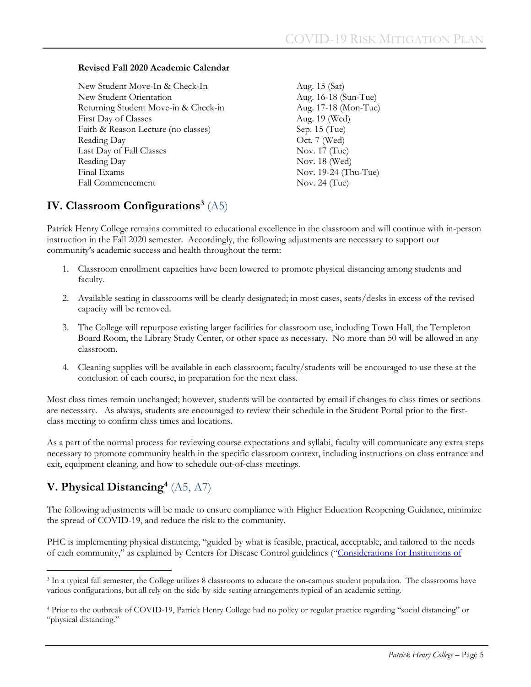#### **Revised Fall 2020 Academic Calendar**

New Student Move-In & Check-In Aug. 15 (Sat) New Student Orientation Aug. 16-18 (Sun-Tue) Returning Student Move-in & Check-in Aug. 17-18 (Mon-Tue) First Day of Classes Aug. 19 (Wed) Faith & Reason Lecture (no classes) Sep. 15 (Tue) Reading Day Oct. 7 (Wed) Last Day of Fall Classes Nov. 17 (Tue) Reading Day Nov. 18 (Wed) Final Exams Nov. 19-24 (Thu-Tue) Fall Commencement Nov. 24 (Tue)

### **IV. Classroom Configuration[s3](#page-6-0)** (A5)

Patrick Henry College remains committed to educational excellence in the classroom and will continue with in-person instruction in the Fall 2020 semester. Accordingly, the following adjustments are necessary to support our community's academic success and health throughout the term:

- 1. Classroom enrollment capacities have been lowered to promote physical distancing among students and faculty.
- 2. Available seating in classrooms will be clearly designated; in most cases, seats/desks in excess of the revised capacity will be removed.
- 3. The College will repurpose existing larger facilities for classroom use, including Town Hall, the Templeton Board Room, the Library Study Center, or other space as necessary. No more than 50 will be allowed in any classroom.
- 4. Cleaning supplies will be available in each classroom; faculty/students will be encouraged to use these at the conclusion of each course, in preparation for the next class.

Most class times remain unchanged; however, students will be contacted by email if changes to class times or sections are necessary. As always, students are encouraged to review their schedule in the Student Portal prior to the firstclass meeting to confirm class times and locations.

As a part of the normal process for reviewing course expectations and syllabi, faculty will communicate any extra steps necessary to promote community health in the specific classroom context, including instructions on class entrance and exit, equipment cleaning, and how to schedule out-of-class meetings.

# **V. Physical Distancin[g4](#page-6-1)** (A5, A7)

The following adjustments will be made to ensure compliance with Higher Education Reopening Guidance, minimize the spread of COVID-19, and reduce the risk to the community.

PHC is implementing physical distancing, "guided by what is feasible, practical, acceptable, and tailored to the needs of each community," as explained by Centers for Disease Control guidelines (["Considerations for Institutions of](https://www.cdc.gov/coronavirus/2019-ncov/community/colleges-universities/considerations.html) 

<span id="page-6-0"></span>Ĩ. <sup>3</sup> In a typical fall semester, the College utilizes 8 classrooms to educate the on-campus student population. The classrooms have various configurations, but all rely on the side-by-side seating arrangements typical of an academic setting.

<span id="page-6-1"></span><sup>4</sup> Prior to the outbreak of COVID-19, Patrick Henry College had no policy or regular practice regarding "social distancing" or "physical distancing."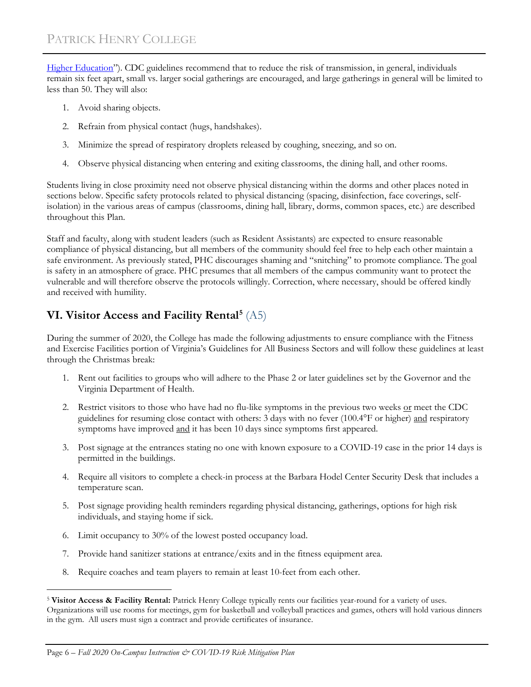[Higher Education"](https://www.cdc.gov/coronavirus/2019-ncov/community/colleges-universities/considerations.html)). CDC guidelines recommend that to reduce the risk of transmission, in general, individuals remain six feet apart, small vs. larger social gatherings are encouraged, and large gatherings in general will be limited to less than 50. They will also:

- 1. Avoid sharing objects.
- 2. Refrain from physical contact (hugs, handshakes).
- 3. Minimize the spread of respiratory droplets released by coughing, sneezing, and so on.
- 4. Observe physical distancing when entering and exiting classrooms, the dining hall, and other rooms.

Students living in close proximity need not observe physical distancing within the dorms and other places noted in sections below. Specific safety protocols related to physical distancing (spacing, disinfection, face coverings, selfisolation) in the various areas of campus (classrooms, dining hall, library, dorms, common spaces, etc.) are described throughout this Plan.

Staff and faculty, along with student leaders (such as Resident Assistants) are expected to ensure reasonable compliance of physical distancing, but all members of the community should feel free to help each other maintain a safe environment. As previously stated, PHC discourages shaming and "snitching" to promote compliance. The goal is safety in an atmosphere of grace. PHC presumes that all members of the campus community want to protect the vulnerable and will therefore observe the protocols willingly. Correction, where necessary, should be offered kindly and received with humility.

# **VI. Visitor Access and Facility Rental[5](#page-7-0)** (A5)

During the summer of 2020, the College has made the following adjustments to ensure compliance with the Fitness and Exercise Facilities portion of Virginia's Guidelines for All Business Sectors and will follow these guidelines at least through the Christmas break:

- 1. Rent out facilities to groups who will adhere to the Phase 2 or later guidelines set by the Governor and the Virginia Department of Health.
- 2. Restrict visitors to those who have had no flu-like symptoms in the previous two weeks or meet the CDC guidelines for resuming close contact with others: 3 days with no fever (100.4°F or higher) and respiratory symptoms have improved and it has been 10 days since symptoms first appeared.
- 3. Post signage at the entrances stating no one with known exposure to a COVID-19 case in the prior 14 days is permitted in the buildings.
- 4. Require all visitors to complete a check-in process at the Barbara Hodel Center Security Desk that includes a temperature scan.
- 5. Post signage providing health reminders regarding physical distancing, gatherings, options for high risk individuals, and staying home if sick.
- 6. Limit occupancy to 30% of the lowest posted occupancy load.
- 7. Provide hand sanitizer stations at entrance/exits and in the fitness equipment area.
- 8. Require coaches and team players to remain at least 10-feet from each other.

<span id="page-7-0"></span>ī <sup>5</sup> **Visitor Access & Facility Rental:** Patrick Henry College typically rents our facilities year-round for a variety of uses. Organizations will use rooms for meetings, gym for basketball and volleyball practices and games, others will hold various dinners in the gym. All users must sign a contract and provide certificates of insurance.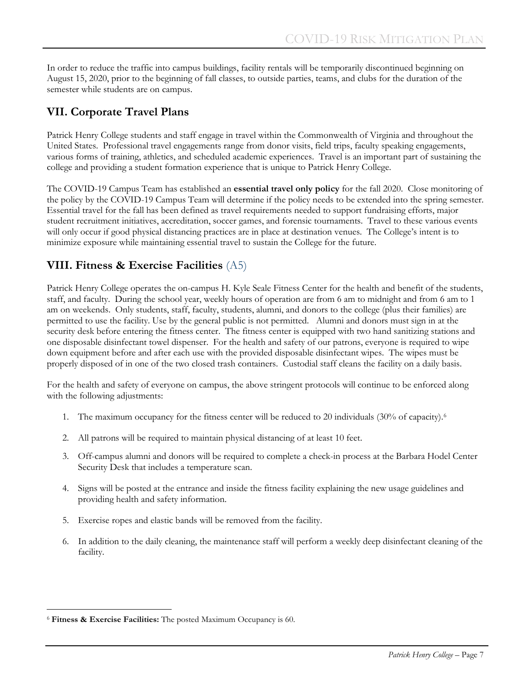In order to reduce the traffic into campus buildings, facility rentals will be temporarily discontinued beginning on August 15, 2020, prior to the beginning of fall classes, to outside parties, teams, and clubs for the duration of the semester while students are on campus.

### **VII. Corporate Travel Plans**

Patrick Henry College students and staff engage in travel within the Commonwealth of Virginia and throughout the United States. Professional travel engagements range from donor visits, field trips, faculty speaking engagements, various forms of training, athletics, and scheduled academic experiences. Travel is an important part of sustaining the college and providing a student formation experience that is unique to Patrick Henry College.

The COVID-19 Campus Team has established an **essential travel only policy** for the fall 2020. Close monitoring of the policy by the COVID-19 Campus Team will determine if the policy needs to be extended into the spring semester. Essential travel for the fall has been defined as travel requirements needed to support fundraising efforts, major student recruitment initiatives, accreditation, soccer games, and forensic tournaments. Travel to these various events will only occur if good physical distancing practices are in place at destination venues. The College's intent is to minimize exposure while maintaining essential travel to sustain the College for the future.

### **VIII. Fitness & Exercise Facilities** (A5)

Patrick Henry College operates the on-campus H. Kyle Seale Fitness Center for the health and benefit of the students, staff, and faculty. During the school year, weekly hours of operation are from 6 am to midnight and from 6 am to 1 am on weekends. Only students, staff, faculty, students, alumni, and donors to the college (plus their families) are permitted to use the facility. Use by the general public is not permitted. Alumni and donors must sign in at the security desk before entering the fitness center. The fitness center is equipped with two hand sanitizing stations and one disposable disinfectant towel dispenser. For the health and safety of our patrons, everyone is required to wipe down equipment before and after each use with the provided disposable disinfectant wipes. The wipes must be properly disposed of in one of the two closed trash containers. Custodial staff cleans the facility on a daily basis.

For the health and safety of everyone on campus, the above stringent protocols will continue to be enforced along with the following adjustments:

- 1. The maximum occupancy for the fitness center will be reduced to 20 individuals (30% of capacity).[6](#page-8-0)
- 2. All patrons will be required to maintain physical distancing of at least 10 feet.
- 3. Off-campus alumni and donors will be required to complete a check-in process at the Barbara Hodel Center Security Desk that includes a temperature scan.
- 4. Signs will be posted at the entrance and inside the fitness facility explaining the new usage guidelines and providing health and safety information.
- 5. Exercise ropes and elastic bands will be removed from the facility.
- 6. In addition to the daily cleaning, the maintenance staff will perform a weekly deep disinfectant cleaning of the facility.

<span id="page-8-0"></span>Ĩ. <sup>6</sup> **Fitness & Exercise Facilities:** The posted Maximum Occupancy is 60.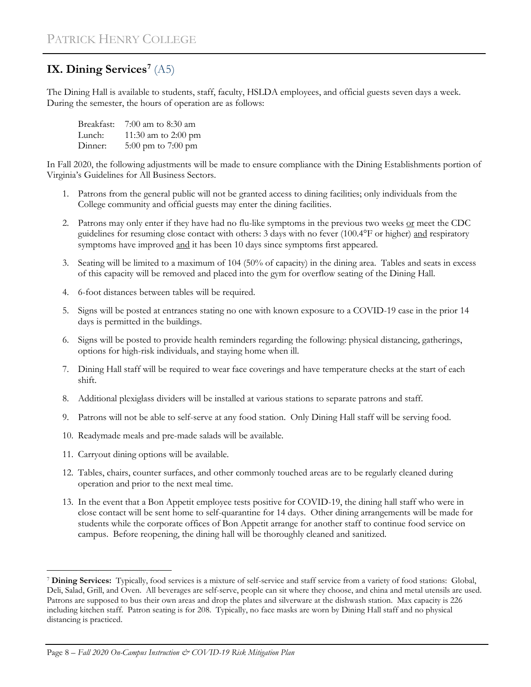# **IX. Dining Services[7](#page-9-0)** (A5)

The Dining Hall is available to students, staff, faculty, HSLDA employees, and official guests seven days a week. During the semester, the hours of operation are as follows:

| Breakfast: | 7:00 am to 8:30 am   |
|------------|----------------------|
| Lunch:     | 11:30 am to 2:00 pm  |
| Dinner:    | 5:00 pm to $7:00$ pm |

In Fall 2020, the following adjustments will be made to ensure compliance with the Dining Establishments portion of Virginia's Guidelines for All Business Sectors.

- 1. Patrons from the general public will not be granted access to dining facilities; only individuals from the College community and official guests may enter the dining facilities.
- 2. Patrons may only enter if they have had no flu-like symptoms in the previous two weeks or meet the CDC guidelines for resuming close contact with others: 3 days with no fever (100.4°F or higher) and respiratory symptoms have improved and it has been 10 days since symptoms first appeared.
- 3. Seating will be limited to a maximum of 104 (50% of capacity) in the dining area. Tables and seats in excess of this capacity will be removed and placed into the gym for overflow seating of the Dining Hall.
- 4. 6-foot distances between tables will be required.
- 5. Signs will be posted at entrances stating no one with known exposure to a COVID-19 case in the prior 14 days is permitted in the buildings.
- 6. Signs will be posted to provide health reminders regarding the following: physical distancing, gatherings, options for high-risk individuals, and staying home when ill.
- 7. Dining Hall staff will be required to wear face coverings and have temperature checks at the start of each shift.
- 8. Additional plexiglass dividers will be installed at various stations to separate patrons and staff.
- 9. Patrons will not be able to self-serve at any food station. Only Dining Hall staff will be serving food.
- 10. Readymade meals and pre-made salads will be available.
- 11. Carryout dining options will be available.
- 12. Tables, chairs, counter surfaces, and other commonly touched areas are to be regularly cleaned during operation and prior to the next meal time.
- 13. In the event that a Bon Appetit employee tests positive for COVID-19, the dining hall staff who were in close contact will be sent home to self-quarantine for 14 days. Other dining arrangements will be made for students while the corporate offices of Bon Appetit arrange for another staff to continue food service on campus. Before reopening, the dining hall will be thoroughly cleaned and sanitized.

<span id="page-9-0"></span>Ĩ. <sup>7</sup> **Dining Services:** Typically, food services is a mixture of self-service and staff service from a variety of food stations: Global, Deli, Salad, Grill, and Oven. All beverages are self-serve, people can sit where they choose, and china and metal utensils are used. Patrons are supposed to bus their own areas and drop the plates and silverware at the dishwash station. Max capacity is 226 including kitchen staff. Patron seating is for 208. Typically, no face masks are worn by Dining Hall staff and no physical distancing is practiced.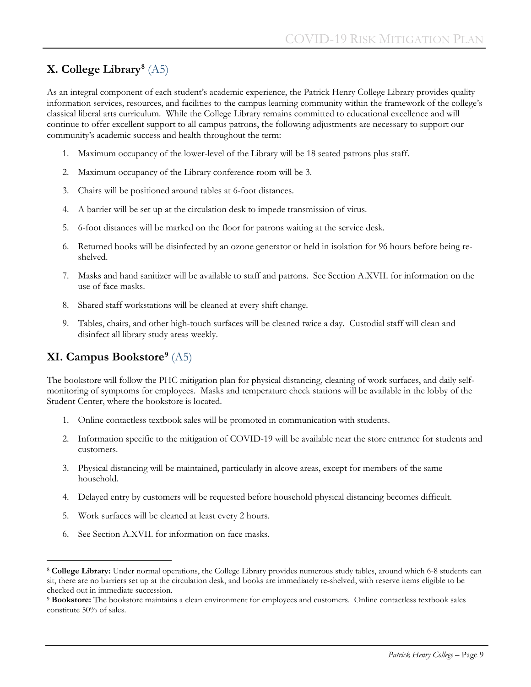# **X. College Library[8](#page-10-0)** (A5)

As an integral component of each student's academic experience, the Patrick Henry College Library provides quality information services, resources, and facilities to the campus learning community within the framework of the college's classical liberal arts curriculum.While the College Library remains committed to educational excellence and will continue to offer excellent support to all campus patrons, the following adjustments are necessary to support our community's academic success and health throughout the term:

- 1. Maximum occupancy of the lower-level of the Library will be 18 seated patrons plus staff.
- 2. Maximum occupancy of the Library conference room will be 3.
- 3. Chairs will be positioned around tables at 6-foot distances.
- 4. A barrier will be set up at the circulation desk to impede transmission of virus.
- 5. 6-foot distances will be marked on the floor for patrons waiting at the service desk.
- 6. Returned books will be disinfected by an ozone generator or held in isolation for 96 hours before being reshelved.
- 7. Masks and hand sanitizer will be available to staff and patrons. See Section A.XVII. for information on the use of face masks.
- 8. Shared staff workstations will be cleaned at every shift change.
- 9. Tables, chairs, and other high-touch surfaces will be cleaned twice a day. Custodial staff will clean and disinfect all library study areas weekly.

# **XI. Campus Bookstore[9](#page-10-1)** (A5)

The bookstore will follow the PHC mitigation plan for physical distancing, cleaning of work surfaces, and daily selfmonitoring of symptoms for employees. Masks and temperature check stations will be available in the lobby of the Student Center, where the bookstore is located.

- 1. Online contactless textbook sales will be promoted in communication with students.
- 2. Information specific to the mitigation of COVID-19 will be available near the store entrance for students and customers.
- 3. Physical distancing will be maintained, particularly in alcove areas, except for members of the same household.
- 4. Delayed entry by customers will be requested before household physical distancing becomes difficult.
- 5. Work surfaces will be cleaned at least every 2 hours.
- 6. See Section A.XVII. for information on face masks.

<span id="page-10-0"></span>Ĩ. <sup>8</sup> **College Library:** Under normal operations, the College Library provides numerous study tables, around which 6-8 students can sit, there are no barriers set up at the circulation desk, and books are immediately re-shelved, with reserve items eligible to be checked out in immediate succession.

<span id="page-10-1"></span><sup>9</sup> **Bookstore:** The bookstore maintains a clean environment for employees and customers. Online contactless textbook sales constitute 50% of sales.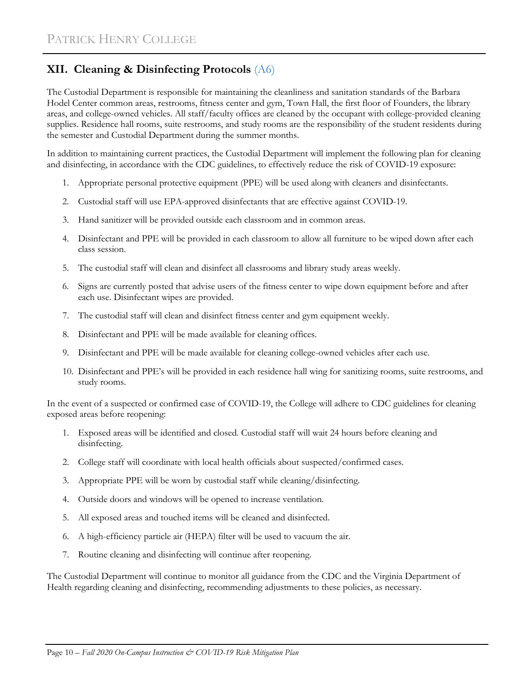# **XII. Cleaning & Disinfecting Protocols** (A6)

The Custodial Department is responsible for maintaining the cleanliness and sanitation standards of the Barbara Hodel Center common areas, restrooms, fitness center and gym, Town Hall, the first floor of Founders, the library areas, and college-owned vehicles. All staff/faculty offices are cleaned by the occupant with college-provided cleaning supplies. Residence hall rooms, suite restrooms, and study rooms are the responsibility of the student residents during the semester and Custodial Department during the summer months.

In addition to maintaining current practices, the Custodial Department will implement the following plan for cleaning and disinfecting, in accordance with the CDC guidelines, to effectively reduce the risk of COVID-19 exposure:

- 1. Appropriate personal protective equipment (PPE) will be used along with cleaners and disinfectants.
- 2. Custodial staff will use EPA-approved disinfectants that are effective against COVID-19.
- 3. Hand sanitizer will be provided outside each classroom and in common areas.
- 4. Disinfectant and PPE will be provided in each classroom to allow all furniture to be wiped down after each class session.
- 5. The custodial staff will clean and disinfect all classrooms and library study areas weekly.
- 6. Signs are currently posted that advise users of the fitness center to wipe down equipment before and after each use. Disinfectant wipes are provided.
- 7. The custodial staff will clean and disinfect fitness center and gym equipment weekly.
- 8. Disinfectant and PPE will be made available for cleaning offices.
- 9. Disinfectant and PPE will be made available for cleaning college-owned vehicles after each use.
- 10. Disinfectant and PPE's will be provided in each residence hall wing for sanitizing rooms, suite restrooms, and study rooms.

In the event of a suspected or confirmed case of COVID-19, the College will adhere to CDC guidelines for cleaning exposed areas before reopening:

- 1. Exposed areas will be identified and closed. Custodial staff will wait 24 hours before cleaning and disinfecting.
- 2. College staff will coordinate with local health officials about suspected/confirmed cases.
- 3. Appropriate PPE will be worn by custodial staff while cleaning/disinfecting.
- 4. Outside doors and windows will be opened to increase ventilation.
- 5. All exposed areas and touched items will be cleaned and disinfected.
- 6. A high-efficiency particle air (HEPA) filter will be used to vacuum the air.
- 7. Routine cleaning and disinfecting will continue after reopening.

The Custodial Department will continue to monitor all guidance from the CDC and the Virginia Department of Health regarding cleaning and disinfecting, recommending adjustments to these policies, as necessary.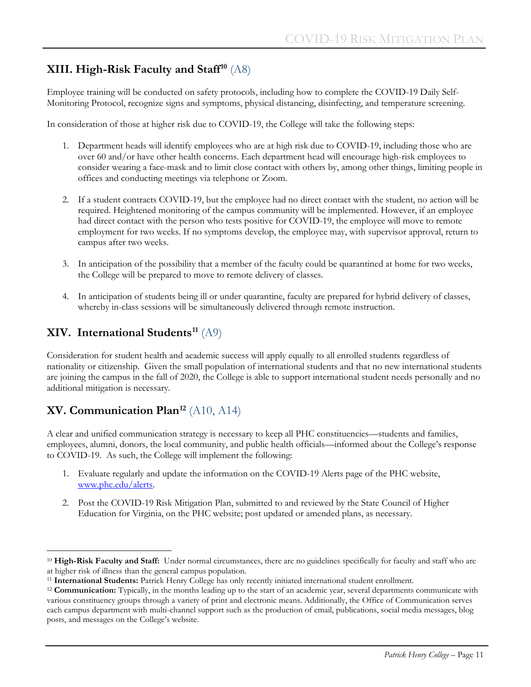# **XIII. High-Risk Faculty and Staff[10](#page-12-0)** (A8)

Employee training will be conducted on safety protocols, including how to complete the COVID-19 Daily Self-Monitoring Protocol, recognize signs and symptoms, physical distancing, disinfecting, and temperature screening.

In consideration of those at higher risk due to COVID-19, the College will take the following steps:

- 1. Department heads will identify employees who are at high risk due to COVID-19, including those who are over 60 and/or have other health concerns. Each department head will encourage high-risk employees to consider wearing a face-mask and to limit close contact with others by, among other things, limiting people in offices and conducting meetings via telephone or Zoom.
- 2. If a student contracts COVID-19, but the employee had no direct contact with the student, no action will be required. Heightened monitoring of the campus community will be implemented. However, if an employee had direct contact with the person who tests positive for COVID-19, the employee will move to remote employment for two weeks. If no symptoms develop, the employee may, with supervisor approval, return to campus after two weeks.
- 3. In anticipation of the possibility that a member of the faculty could be quarantined at home for two weeks, the College will be prepared to move to remote delivery of classes.
- 4. In anticipation of students being ill or under quarantine, faculty are prepared for hybrid delivery of classes, whereby in-class sessions will be simultaneously delivered through remote instruction.

### **XIV. International Students[11](#page-12-1)** (A9)

Consideration for student health and academic success will apply equally to all enrolled students regardless of nationality or citizenship. Given the small population of international students and that no new international students are joining the campus in the fall of 2020, the College is able to support international student needs personally and no additional mitigation is necessary.

# **XV. Communication Plan[12](#page-12-2)** (A10, A14)

A clear and unified communication strategy is necessary to keep all PHC constituencies—students and families, employees, alumni, donors, the local community, and public health officials—informed about the College's response to COVID-19. As such, the College will implement the following:

- 1. Evaluate regularly and update the information on the COVID-19 Alerts page of the PHC website, [www.phc.edu/alerts.](http://www.phc.edu/alerts)
- 2. Post the COVID-19 Risk Mitigation Plan, submitted to and reviewed by the State Council of Higher Education for Virginia, on the PHC website; post updated or amended plans, as necessary.

<span id="page-12-0"></span>ī <sup>10</sup> High-Risk Faculty and Staff: Under normal circumstances, there are no guidelines specifically for faculty and staff who are at higher risk of illness than the general campus population.

<span id="page-12-1"></span><sup>11</sup> **International Students:** Patrick Henry College has only recently initiated international student enrollment.

<span id="page-12-2"></span><sup>12</sup> **Communication:** Typically, in the months leading up to the start of an academic year, several departments communicate with various constituency groups through a variety of print and electronic means. Additionally, the Office of Communication serves each campus department with multi-channel support such as the production of email, publications, social media messages, blog posts, and messages on the College's website.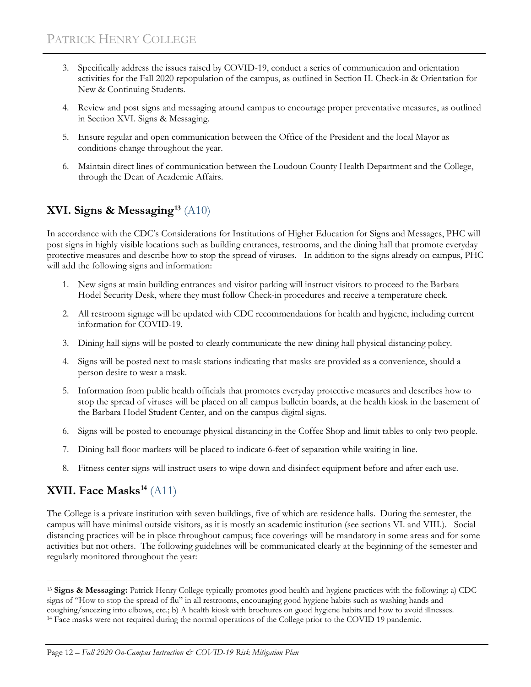- 3. Specifically address the issues raised by COVID-19, conduct a series of communication and orientation activities for the Fall 2020 repopulation of the campus, as outlined in Section II. Check-in & Orientation for New & Continuing Students.
- 4. Review and post signs and messaging around campus to encourage proper preventative measures, as outlined in Section XVI. Signs & Messaging.
- 5. Ensure regular and open communication between the Office of the President and the local Mayor as conditions change throughout the year.
- 6. Maintain direct lines of communication between the Loudoun County Health Department and the College, through the Dean of Academic Affairs.

# **XVI. Signs & Messaging[13](#page-13-0)** (A10)

In accordance with the CDC's Considerations for Institutions of Higher Education for Signs and Messages, PHC will post signs in highly visible locations such as building entrances, restrooms, and the dining hall that promote everyday protective measures and describe how to stop the spread of viruses. In addition to the signs already on campus, PHC will add the following signs and information:

- 1. New signs at main building entrances and visitor parking will instruct visitors to proceed to the Barbara Hodel Security Desk, where they must follow Check-in procedures and receive a temperature check.
- 2. All restroom signage will be updated with CDC recommendations for health and hygiene, including current information for COVID-19.
- 3. Dining hall signs will be posted to clearly communicate the new dining hall physical distancing policy.
- 4. Signs will be posted next to mask stations indicating that masks are provided as a convenience, should a person desire to wear a mask.
- 5. Information from public health officials that promotes everyday protective measures and describes how to stop the spread of viruses will be placed on all campus bulletin boards, at the health kiosk in the basement of the Barbara Hodel Student Center, and on the campus digital signs.
- 6. Signs will be posted to encourage physical distancing in the Coffee Shop and limit tables to only two people.
- 7. Dining hall floor markers will be placed to indicate 6-feet of separation while waiting in line.
- 8. Fitness center signs will instruct users to wipe down and disinfect equipment before and after each use.

# **XVII. Face Masks[14](#page-13-1)** (A11)

The College is a private institution with seven buildings, five of which are residence halls. During the semester, the campus will have minimal outside visitors, as it is mostly an academic institution (see sections VI. and VIII.). Social distancing practices will be in place throughout campus; face coverings will be mandatory in some areas and for some activities but not others. The following guidelines will be communicated clearly at the beginning of the semester and regularly monitored throughout the year:

<span id="page-13-1"></span><span id="page-13-0"></span>Ĩ. <sup>13</sup> **Signs & Messaging:** Patrick Henry College typically promotes good health and hygiene practices with the following: a) CDC signs of "How to stop the spread of flu" in all restrooms, encouraging good hygiene habits such as washing hands and coughing/sneezing into elbows, etc.; b) A health kiosk with brochures on good hygiene habits and how to avoid illnesses. <sup>14</sup> Face masks were not required during the normal operations of the College prior to the COVID 19 pandemic.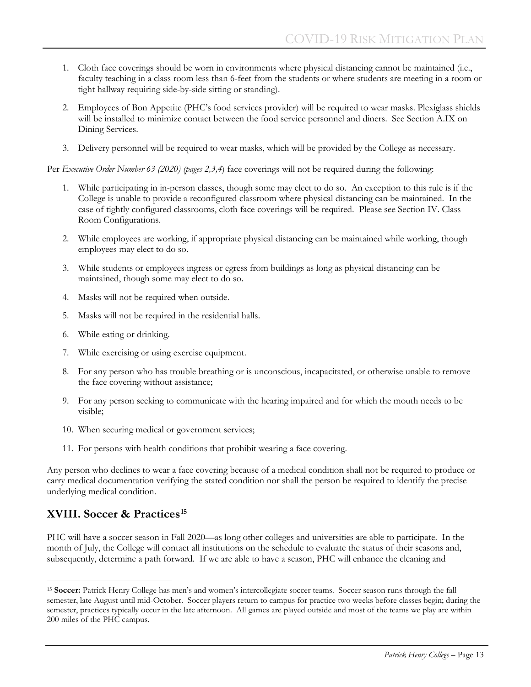- 1. Cloth face coverings should be worn in environments where physical distancing cannot be maintained (i.e., faculty teaching in a class room less than 6-feet from the students or where students are meeting in a room or tight hallway requiring side-by-side sitting or standing).
- 2. Employees of Bon Appetite (PHC's food services provider) will be required to wear masks. Plexiglass shields will be installed to minimize contact between the food service personnel and diners. See Section A.IX on Dining Services.
- 3. Delivery personnel will be required to wear masks, which will be provided by the College as necessary.

Per *Executive Order Number 63 (2020) (pages 2,3,4*) face coverings will not be required during the following:

- 1. While participating in in-person classes, though some may elect to do so. An exception to this rule is if the College is unable to provide a reconfigured classroom where physical distancing can be maintained. In the case of tightly configured classrooms, cloth face coverings will be required. Please see Section IV. Class Room Configurations.
- 2. While employees are working, if appropriate physical distancing can be maintained while working, though employees may elect to do so.
- 3. While students or employees ingress or egress from buildings as long as physical distancing can be maintained, though some may elect to do so.
- 4. Masks will not be required when outside.
- 5. Masks will not be required in the residential halls.
- 6. While eating or drinking.
- 7. While exercising or using exercise equipment.
- 8. For any person who has trouble breathing or is unconscious, incapacitated, or otherwise unable to remove the face covering without assistance;
- 9. For any person seeking to communicate with the hearing impaired and for which the mouth needs to be visible;
- 10. When securing medical or government services;
- 11. For persons with health conditions that prohibit wearing a face covering.

Any person who declines to wear a face covering because of a medical condition shall not be required to produce or carry medical documentation verifying the stated condition nor shall the person be required to identify the precise underlying medical condition.

### **XVIII. Soccer & Practices[15](#page-14-0)**

PHC will have a soccer season in Fall 2020—as long other colleges and universities are able to participate. In the month of July, the College will contact all institutions on the schedule to evaluate the status of their seasons and, subsequently, determine a path forward. If we are able to have a season, PHC will enhance the cleaning and

<span id="page-14-0"></span>Ĩ. <sup>15</sup> **Soccer:** Patrick Henry College has men's and women's intercollegiate soccer teams. Soccer season runs through the fall semester, late August until mid-October. Soccer players return to campus for practice two weeks before classes begin; during the semester, practices typically occur in the late afternoon. All games are played outside and most of the teams we play are within 200 miles of the PHC campus.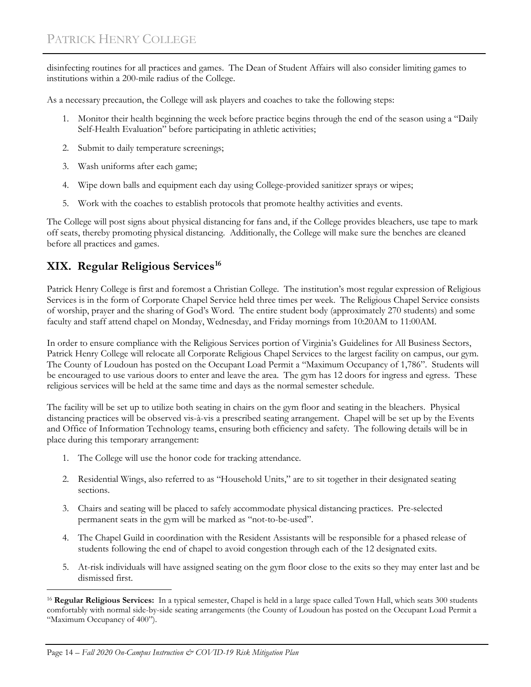disinfecting routines for all practices and games. The Dean of Student Affairs will also consider limiting games to institutions within a 200-mile radius of the College.

As a necessary precaution, the College will ask players and coaches to take the following steps:

- 1. Monitor their health beginning the week before practice begins through the end of the season using a "Daily Self-Health Evaluation" before participating in athletic activities;
- 2. Submit to daily temperature screenings;
- 3. Wash uniforms after each game;
- 4. Wipe down balls and equipment each day using College-provided sanitizer sprays or wipes;
- 5. Work with the coaches to establish protocols that promote healthy activities and events.

The College will post signs about physical distancing for fans and, if the College provides bleachers, use tape to mark off seats, thereby promoting physical distancing. Additionally, the College will make sure the benches are cleaned before all practices and games.

### **XIX. Regular Religious Services[16](#page-15-0)**

Patrick Henry College is first and foremost a Christian College. The institution's most regular expression of Religious Services is in the form of Corporate Chapel Service held three times per week. The Religious Chapel Service consists of worship, prayer and the sharing of God's Word. The entire student body (approximately 270 students) and some faculty and staff attend chapel on Monday, Wednesday, and Friday mornings from 10:20AM to 11:00AM.

In order to ensure compliance with the Religious Services portion of Virginia's Guidelines for All Business Sectors, Patrick Henry College will relocate all Corporate Religious Chapel Services to the largest facility on campus, our gym. The County of Loudoun has posted on the Occupant Load Permit a "Maximum Occupancy of 1,786". Students will be encouraged to use various doors to enter and leave the area. The gym has 12 doors for ingress and egress. These religious services will be held at the same time and days as the normal semester schedule.

The facility will be set up to utilize both seating in chairs on the gym floor and seating in the bleachers. Physical distancing practices will be observed vis-à-vis a prescribed seating arrangement. Chapel will be set up by the Events and Office of Information Technology teams, ensuring both efficiency and safety. The following details will be in place during this temporary arrangement:

- 1. The College will use the honor code for tracking attendance.
- 2. Residential Wings, also referred to as "Household Units," are to sit together in their designated seating sections.
- 3. Chairs and seating will be placed to safely accommodate physical distancing practices. Pre-selected permanent seats in the gym will be marked as "not-to-be-used".
- 4. The Chapel Guild in coordination with the Resident Assistants will be responsible for a phased release of students following the end of chapel to avoid congestion through each of the 12 designated exits.
- 5. At-risk individuals will have assigned seating on the gym floor close to the exits so they may enter last and be dismissed first.

<span id="page-15-0"></span>ī <sup>16</sup> Regular Religious Services: In a typical semester, Chapel is held in a large space called Town Hall, which seats 300 students comfortably with normal side-by-side seating arrangements (the County of Loudoun has posted on the Occupant Load Permit a "Maximum Occupancy of 400").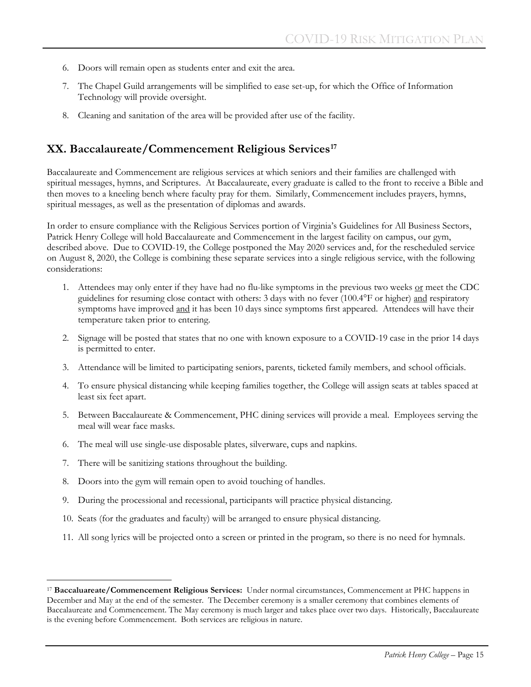- 6. Doors will remain open as students enter and exit the area.
- 7. The Chapel Guild arrangements will be simplified to ease set-up, for which the Office of Information Technology will provide oversight.
- 8. Cleaning and sanitation of the area will be provided after use of the facility.

#### **XX. Baccalaureate/Commencement Religious Services[17](#page-16-0)**

Baccalaureate and Commencement are religious services at which seniors and their families are challenged with spiritual messages, hymns, and Scriptures. At Baccalaureate, every graduate is called to the front to receive a Bible and then moves to a kneeling bench where faculty pray for them. Similarly, Commencement includes prayers, hymns, spiritual messages, as well as the presentation of diplomas and awards.

In order to ensure compliance with the Religious Services portion of Virginia's Guidelines for All Business Sectors, Patrick Henry College will hold Baccalaureate and Commencement in the largest facility on campus, our gym, described above. Due to COVID-19, the College postponed the May 2020 services and, for the rescheduled service on August 8, 2020, the College is combining these separate services into a single religious service, with the following considerations:

- 1. Attendees may only enter if they have had no flu-like symptoms in the previous two weeks <u>or</u> meet the CDC guidelines for resuming close contact with others: 3 days with no fever (100.4°F or higher) and respiratory symptoms have improved and it has been 10 days since symptoms first appeared. Attendees will have their temperature taken prior to entering.
- 2. Signage will be posted that states that no one with known exposure to a COVID-19 case in the prior 14 days is permitted to enter.
- 3. Attendance will be limited to participating seniors, parents, ticketed family members, and school officials.
- 4. To ensure physical distancing while keeping families together, the College will assign seats at tables spaced at least six feet apart.
- 5. Between Baccalaureate & Commencement, PHC dining services will provide a meal. Employees serving the meal will wear face masks.
- 6. The meal will use single-use disposable plates, silverware, cups and napkins.
- 7. There will be sanitizing stations throughout the building.
- 8. Doors into the gym will remain open to avoid touching of handles.
- 9. During the processional and recessional, participants will practice physical distancing.
- 10. Seats (for the graduates and faculty) will be arranged to ensure physical distancing.
- 11. All song lyrics will be projected onto a screen or printed in the program, so there is no need for hymnals.

<span id="page-16-0"></span>Ĩ. <sup>17</sup> **Baccaluareate/Commencement Religious Services:** Under normal circumstances, Commencement at PHC happens in December and May at the end of the semester. The December ceremony is a smaller ceremony that combines elements of Baccalaureate and Commencement. The May ceremony is much larger and takes place over two days. Historically, Baccalaureate is the evening before Commencement. Both services are religious in nature.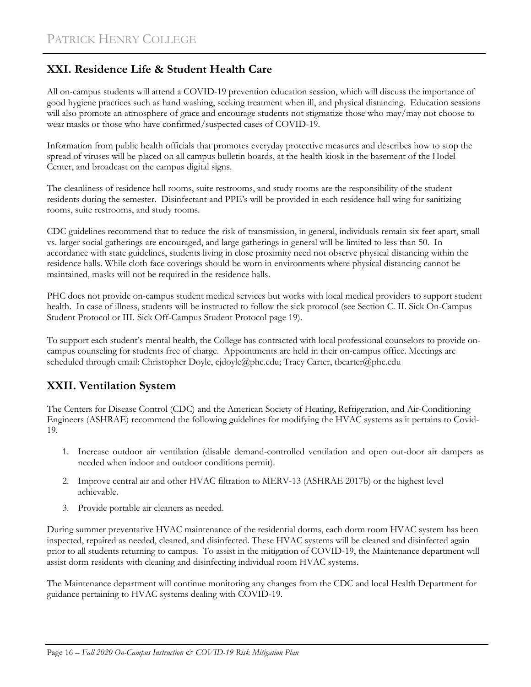### **XXI. Residence Life & Student Health Care**

All on-campus students will attend a COVID-19 prevention education session, which will discuss the importance of good hygiene practices such as hand washing, seeking treatment when ill, and physical distancing. Education sessions will also promote an atmosphere of grace and encourage students not stigmatize those who may/may not choose to wear masks or those who have confirmed/suspected cases of COVID-19.

Information from public health officials that promotes everyday protective measures and describes how to stop the spread of viruses will be placed on all campus bulletin boards, at the health kiosk in the basement of the Hodel Center, and broadcast on the campus digital signs.

The cleanliness of residence hall rooms, suite restrooms, and study rooms are the responsibility of the student residents during the semester. Disinfectant and PPE's will be provided in each residence hall wing for sanitizing rooms, suite restrooms, and study rooms.

CDC guidelines recommend that to reduce the risk of transmission, in general, individuals remain six feet apart, small vs. larger social gatherings are encouraged, and large gatherings in general will be limited to less than 50. In accordance with state guidelines, students living in close proximity need not observe physical distancing within the residence halls. While cloth face coverings should be worn in environments where physical distancing cannot be maintained, masks will not be required in the residence halls.

PHC does not provide on-campus student medical services but works with local medical providers to support student health. In case of illness, students will be instructed to follow the sick protocol (see Section C. II. Sick On-Campus Student Protocol or III. Sick Off-Campus Student Protocol page 19).

To support each student's mental health, the College has contracted with local professional counselors to provide oncampus counseling for students free of charge. Appointments are held in their on-campus office. Meetings are scheduled through email: Christopher Doyle, cjdoyle@phc.edu; Tracy Carter, tbcarter@phc.edu

### **XXII. Ventilation System**

The [Centers for Disease Control \(CDC\)](http://cdc.gov/) and the [American Society of Heating, Refrigeration, and Air-Conditioning](http://ashrae.org/)  [Engineers \(ASHRAE\)](http://ashrae.org/) recommend the following guidelines for modifying the HVAC systems as it pertains to Covid-19.

- 1. Increase outdoor air ventilation (disable demand-controlled ventilation and open out-door air dampers as needed when indoor and outdoor conditions permit).
- 2. Improve central air and other HVAC filtration to MERV-13 (ASHRAE 2017b) or the highest level achievable.
- 3. Provide portable air cleaners as needed.

During summer preventative HVAC maintenance of the residential dorms, each dorm room HVAC system has been inspected, repaired as needed, cleaned, and disinfected. These HVAC systems will be cleaned and disinfected again prior to all students returning to campus. To assist in the mitigation of COVID-19, the Maintenance department will assist dorm residents with cleaning and disinfecting individual room HVAC systems.

The Maintenance department will continue monitoring any changes from the CDC and local Health Department for guidance pertaining to HVAC systems dealing with COVID-19.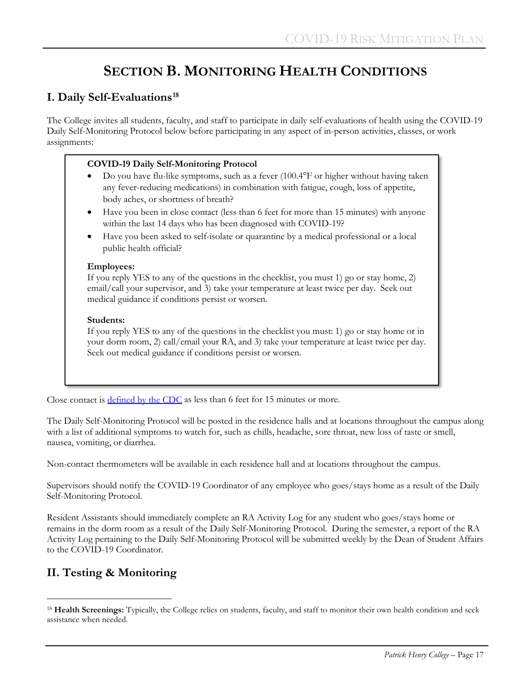# **SECTION B. MONITORING HEALTH CONDITIONS**

### **I. Daily Self-Evaluations[18](#page-18-0)**

The College invites all students, faculty, and staff to participate in daily self-evaluations of health using the COVID-19 Daily Self-Monitoring Protocol below before participating in any aspect of in-person activities, classes, or work assignments:

#### **COVID-19 Daily Self-Monitoring Protocol**

- Do you have flu-like symptoms, such as a fever (100.4°F or higher without having taken any fever-reducing medications) in combination with fatigue, cough, loss of appetite, body aches, or shortness of breath?
- Have you been in close contact (less than 6 feet for more than 15 minutes) with anyone within the last 14 days who has been diagnosed with COVID-19?
- Have you been asked to self-isolate or quarantine by a medical professional or a local public health official?

#### **Employees:**

If you reply YES to any of the questions in the checklist, you must 1) go or stay home, 2) email/call your supervisor, and 3) take your temperature at least twice per day. Seek out medical guidance if conditions persist or worsen.

#### **Students:**

If you reply YES to any of the questions in the checklist you must: 1) go or stay home or in your dorm room, 2) call/email your RA, and 3) take your temperature at least twice per day. Seek out medical guidance if conditions persist or worsen.

Close contact is **defined by the CDC** as less than 6 feet for 15 minutes or more.

The Daily Self-Monitoring Protocol will be posted in the residence halls and at locations throughout the campus along with a list of additional symptoms to watch for, such as chills, headache, sore throat, new loss of taste or smell, nausea, vomiting, or diarrhea.

Non-contact thermometers will be available in each residence hall and at locations throughout the campus.

Supervisors should notify the COVID-19 Coordinator of any employee who goes/stays home as a result of the Daily Self-Monitoring Protocol.

Resident Assistants should immediately complete an RA Activity Log for any student who goes/stays home or remains in the dorm room as a result of the Daily Self-Monitoring Protocol. During the semester, a report of the RA Activity Log pertaining to the Daily Self-Monitoring Protocol will be submitted weekly by the Dean of Student Affairs to the COVID-19 Coordinator.

### **II. Testing & Monitoring**

<span id="page-18-0"></span>ī <sup>18</sup> Health Screenings: Typically, the College relies on students, faculty, and staff to monitor their own health condition and seek assistance when needed.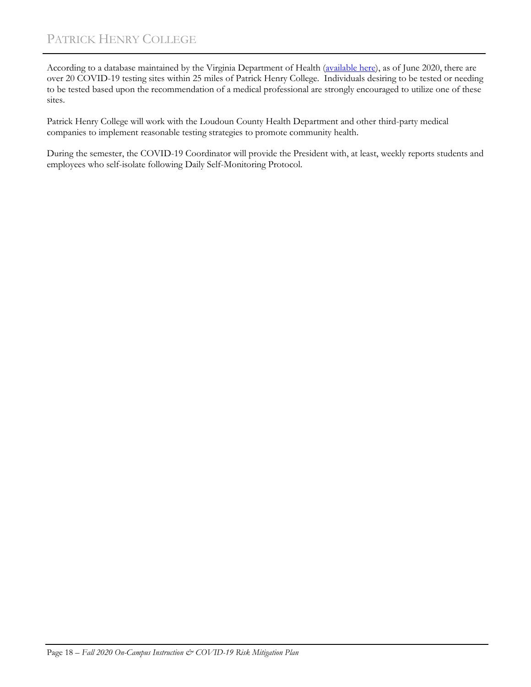According to a database maintained by the Virginia Department of Health [\(available here\)](https://www.vdh.virginia.gov/coronavirus/covid-19-testing/covid-19-testing-sites/), as of June 2020, there are over 20 COVID-19 testing sites within 25 miles of Patrick Henry College. Individuals desiring to be tested or needing to be tested based upon the recommendation of a medical professional are strongly encouraged to utilize one of these sites.

Patrick Henry College will work with the Loudoun County Health Department and other third-party medical companies to implement reasonable testing strategies to promote community health.

During the semester, the COVID-19 Coordinator will provide the President with, at least, weekly reports students and employees who self-isolate following Daily Self-Monitoring Protocol.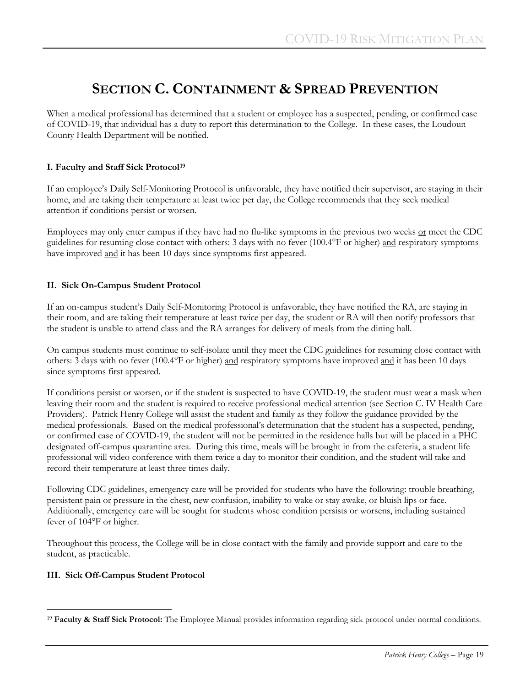# **SECTION C. CONTAINMENT & SPREAD PREVENTION**

When a medical professional has determined that a student or employee has a suspected, pending, or confirmed case of COVID-19, that individual has a duty to report this determination to the College. In these cases, the Loudoun County Health Department will be notified.

#### **I. Faculty and Staff Sick Protocol[19](#page-20-0)**

If an employee's Daily Self-Monitoring Protocol is unfavorable, they have notified their supervisor, are staying in their home, and are taking their temperature at least twice per day, the College recommends that they seek medical attention if conditions persist or worsen.

Employees may only enter campus if they have had no flu-like symptoms in the previous two weeks or meet the CDC guidelines for resuming close contact with others: 3 days with no fever (100.4°F or higher) and respiratory symptoms have improved and it has been 10 days since symptoms first appeared.

#### **II. Sick On-Campus Student Protocol**

If an on-campus student's Daily Self-Monitoring Protocol is unfavorable, they have notified the RA, are staying in their room, and are taking their temperature at least twice per day, the student or RA will then notify professors that the student is unable to attend class and the RA arranges for delivery of meals from the dining hall.

On campus students must continue to self-isolate until they meet the CDC guidelines for resuming close contact with others: 3 days with no fever (100.4°F or higher) and respiratory symptoms have improved and it has been 10 days since symptoms first appeared.

If conditions persist or worsen, or if the student is suspected to have COVID-19, the student must wear a mask when leaving their room and the student is required to receive professional medical attention (see Section C. IV Health Care Providers). Patrick Henry College will assist the student and family as they follow the guidance provided by the medical professionals. Based on the medical professional's determination that the student has a suspected, pending, or confirmed case of COVID-19, the student will not be permitted in the residence halls but will be placed in a PHC designated off-campus quarantine area. During this time, meals will be brought in from the cafeteria, a student life professional will video conference with them twice a day to monitor their condition, and the student will take and record their temperature at least three times daily.

Following CDC guidelines, emergency care will be provided for students who have the following: trouble breathing, persistent pain or pressure in the chest, new confusion, inability to wake or stay awake, or bluish lips or face. Additionally, emergency care will be sought for students whose condition persists or worsens, including sustained fever of 104°F or higher.

Throughout this process, the College will be in close contact with the family and provide support and care to the student, as practicable.

#### **III. Sick Off-Campus Student Protocol**

<span id="page-20-0"></span>Ĩ. <sup>19</sup> **Faculty & Staff Sick Protocol:** The Employee Manual provides information regarding sick protocol under normal conditions.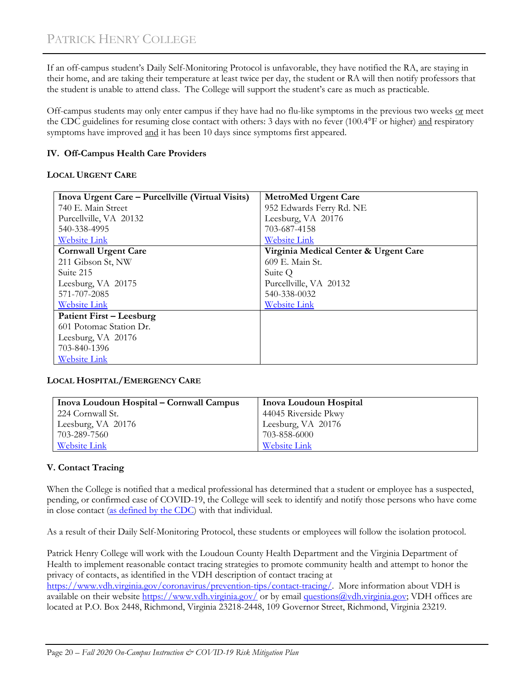If an off-campus student's Daily Self-Monitoring Protocol is unfavorable, they have notified the RA, are staying in their home, and are taking their temperature at least twice per day, the student or RA will then notify professors that the student is unable to attend class. The College will support the student's care as much as practicable.

Off-campus students may only enter campus if they have had no flu-like symptoms in the previous two weeks or meet the CDC guidelines for resuming close contact with others: 3 days with no fever (100.4°F or higher) and respiratory symptoms have improved and it has been 10 days since symptoms first appeared.

#### **IV. Off-Campus Health Care Providers**

#### **LOCAL URGENT CARE**

| Inova Urgent Care – Purcellville (Virtual Visits) | <b>MetroMed Urgent Care</b>           |
|---------------------------------------------------|---------------------------------------|
| 740 E. Main Street                                | 952 Edwards Ferry Rd. NE              |
| Purcellville, VA 20132                            | Leesburg, VA 20176                    |
| 540-338-4995                                      | 703-687-4158                          |
| <b>Website Link</b>                               | <b>Website Link</b>                   |
| <b>Cornwall Urgent Care</b>                       | Virginia Medical Center & Urgent Care |
| 211 Gibson St, NW                                 | 609 E. Main St.                       |
| Suite 215                                         | Suite Q                               |
| Leesburg, VA 20175                                | Purcellville, VA 20132                |
| 571-707-2085                                      | 540-338-0032                          |
| <b>Website Link</b>                               | <b>Website Link</b>                   |
| <b>Patient First – Leesburg</b>                   |                                       |
| 601 Potomac Station Dr.                           |                                       |
| Leesburg, VA 20176                                |                                       |
| 703-840-1396                                      |                                       |
| <b>Website Link</b>                               |                                       |

#### **LOCAL HOSPITAL/EMERGENCY CARE**

| Inova Loudoun Hospital – Cornwall Campus | Inova Loudoun Hospital |
|------------------------------------------|------------------------|
| 224 Cornwall St.                         | 44045 Riverside Pkwy   |
| Leesburg, VA 20176                       | Leesburg, VA 20176     |
| 703-289-7560                             | 703-858-6000           |
| Website Link                             | Website Link           |

#### **V. Contact Tracing**

When the College is notified that a medical professional has determined that a student or employee has a suspected, pending, or confirmed case of COVID-19, the College will seek to identify and notify those persons who have come in close contact [\(as defined by the CDC\)](https://www.cdc.gov/coronavirus/2019-ncov/php/public-health-recommendations.html) with that individual.

As a result of their Daily Self-Monitoring Protocol, these students or employees will follow the isolation protocol.

Patrick Henry College will work with the Loudoun County Health Department and the Virginia Department of Health to implement reasonable contact tracing strategies to promote community health and attempt to honor the privacy of contacts, as identified in the VDH description of contact tracing at

[https://www.vdh.virginia.gov/coronavirus/prevention-tips/contact-tracing/.](https://www.vdh.virginia.gov/coronavirus/prevention-tips/contact-tracing/) More information about VDH is available on their website<https://www.vdh.virginia.gov/> or by email [questions@vdh.virginia.gov;](mailto:questions@vdh.virginia.gov) VDH offices are located at P.O. Box 2448, Richmond, Virginia 23218-2448, 109 Governor Street, Richmond, Virginia 23219.